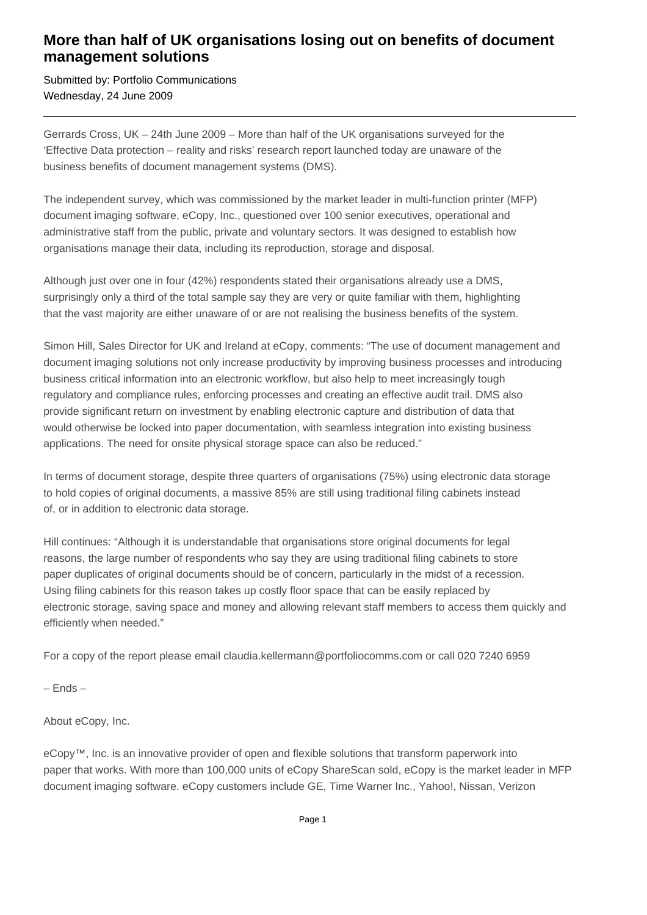## **More than half of UK organisations losing out on benefits of document management solutions**

Submitted by: Portfolio Communications Wednesday, 24 June 2009

Gerrards Cross, UK – 24th June 2009 – More than half of the UK organisations surveyed for the 'Effective Data protection – reality and risks' research report launched today are unaware of the business benefits of document management systems (DMS).

The independent survey, which was commissioned by the market leader in multi-function printer (MFP) document imaging software, eCopy, Inc., questioned over 100 senior executives, operational and administrative staff from the public, private and voluntary sectors. It was designed to establish how organisations manage their data, including its reproduction, storage and disposal.

Although just over one in four (42%) respondents stated their organisations already use a DMS, surprisingly only a third of the total sample say they are very or quite familiar with them, highlighting that the vast majority are either unaware of or are not realising the business benefits of the system.

Simon Hill, Sales Director for UK and Ireland at eCopy, comments: "The use of document management and document imaging solutions not only increase productivity by improving business processes and introducing business critical information into an electronic workflow, but also help to meet increasingly tough regulatory and compliance rules, enforcing processes and creating an effective audit trail. DMS also provide significant return on investment by enabling electronic capture and distribution of data that would otherwise be locked into paper documentation, with seamless integration into existing business applications. The need for onsite physical storage space can also be reduced."

In terms of document storage, despite three quarters of organisations (75%) using electronic data storage to hold copies of original documents, a massive 85% are still using traditional filing cabinets instead of, or in addition to electronic data storage.

Hill continues: "Although it is understandable that organisations store original documents for legal reasons, the large number of respondents who say they are using traditional filing cabinets to store paper duplicates of original documents should be of concern, particularly in the midst of a recession. Using filing cabinets for this reason takes up costly floor space that can be easily replaced by electronic storage, saving space and money and allowing relevant staff members to access them quickly and efficiently when needed."

For a copy of the report please email claudia.kellermann@portfoliocomms.com or call 020 7240 6959

– Ends –

About eCopy, Inc.

eCopy™, Inc. is an innovative provider of open and flexible solutions that transform paperwork into paper that works. With more than 100,000 units of eCopy ShareScan sold, eCopy is the market leader in MFP document imaging software. eCopy customers include GE, Time Warner Inc., Yahoo!, Nissan, Verizon